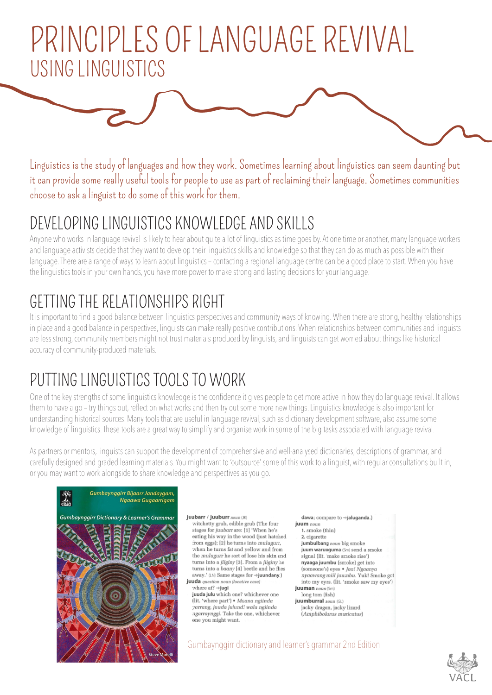# PRINCIPLES OF LANGUAGE REVIVAL USING LINGUISTICS

Linguistics is the study of languages and how they work. Sometimes learning about linguistics can seem daunting but it can provide some really useful tools for people to use as part of reclaiming their language. Sometimes communities choose to ask a linguist to do some of this work for them.

### DEVELOPING LINGUISTICS KNOWLEDGE AND SKILLS

Anyone who works in language revival is likely to hear about quite a lot of linguistics as time goes by. At one time or another, many language workers and language activists decide that they want to develop their linguistics skills and knowledge so that they can do as much as possible with their language. There are a range of ways to learn about linguistics – contacting a regional language centre can be a good place to start. When you have the linguistics tools in your own hands, you have more power to make strong and lasting decisions for your language.

## GETTING THE RELATIONSHIPS RIGHT

It is important to find a good balance between linguistics perspectives and community ways of knowing. When there are strong, healthy relationships in place and a good balance in perspectives, linguists can make really positive contributions. When relationships between communities and linguists are less strong, community members might not trust materials produced by linguists, and linguists can get worried about things like historical accuracy of community-produced materials.

### PUTTING LINGUISTICS TOOLS TO WORK

One of the key strengths of some linguistics knowledge is the confidence it gives people to get more active in how they do language revival. It allows them to have a go – try things out, reflect on what works and then try out some more new things. Linguistics knowledge is also important for understanding historical sources. Many tools that are useful in language revival, such as dictionary development software, also assume some knowledge of linguistics. These tools are a great way to simplify and organise work in some of the big tasks associated with language revival.

As partners or mentors, linguists can support the development of comprehensive and well-analysed dictionaries, descriptions of grammar, and carefully designed and graded learning materials. You might want to 'outsource' some of this work to a linguist, with regular consultations built in, or you may want to work alongside to share knowledge and perspectives as you go.



#### juubarr / juuburr noun (K)

witchetty grub, edible grub (The four stages for juubarrare: [1] 'When he's eating his way in the wood (just hatched from eggs): [2] he turns into mulugurt. when he turns fat and yellow and from the mulugurr he sort of lose his skin and turns into a jiiginy [3]. From a jiiginy he turns into a *boony* [4] heetle and he flies away.' (LN) Same stages for →juundany.) juuda question noun ilocative case)



#### dawa: compare to ⇒ialuganda.)

iuum  $norm$ 1. smoke (thin) 2. cigarette jumbulbang noun big smoke juum waruuquma (Sm) send a smoke signal (lit. 'make smoke rise') nyaaga juumbu (smoke) get into (someone's) eyes . Jaa! Ngaanya nvaawang miil juumbu. Yuk! Smoke got into my eyes. (lit. 'smoke saw my eyes') juuman noun

long tom (fish) juumburral noun (GL)

jacky dragon, jacky lizard (Amphibolurus muricatus)

### Gumbaynggirr dictionary and learner's grammar 2nd Edition